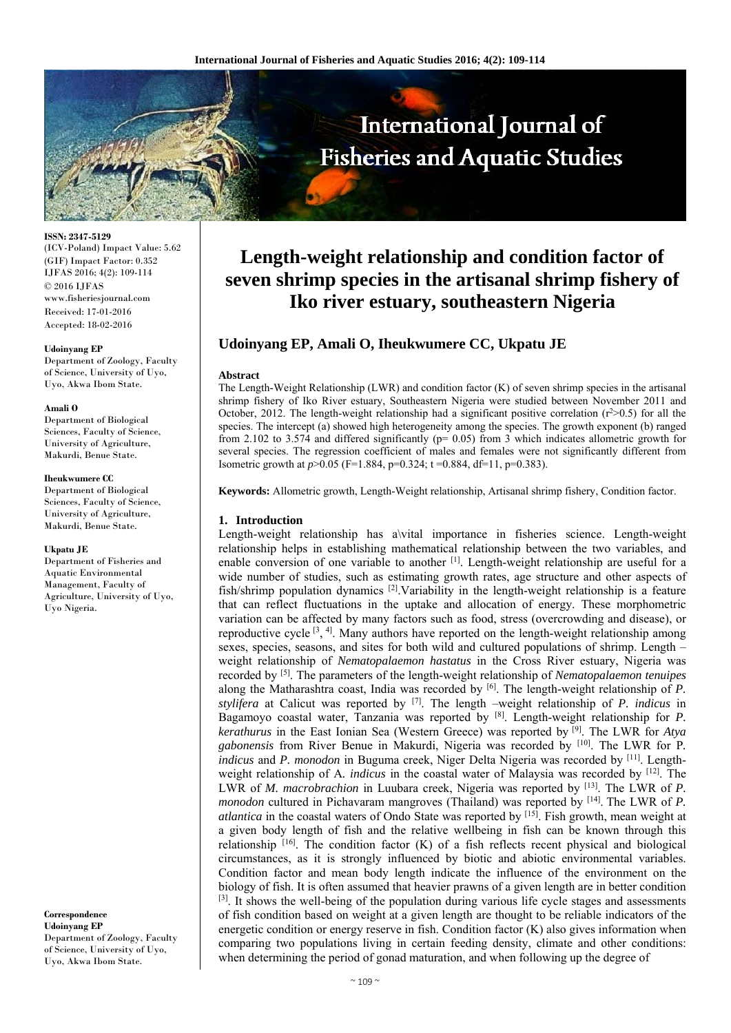

**ISSN: 2347-5129**  (ICV-Poland) Impact Value: 5.62 (GIF) Impact Factor: 0.352 IJFAS 2016; 4(2): 109-114 © 2016 IJFAS www.fisheriesjournal.com Received: 17-01-2016 Accepted: 18-02-2016

#### **Udoinyang EP**

Department of Zoology, Faculty of Science, University of Uyo, Uyo, Akwa Ibom State.

#### **Amali O**

Department of Biological Sciences, Faculty of Science, University of Agriculture, Makurdi, Benue State.

#### **Iheukwumere CC**

Department of Biological Sciences, Faculty of Science, University of Agriculture, Makurdi, Benue State.

#### **Ukpatu JE**

Department of Fisheries and Aquatic Environmental Management, Faculty of Agriculture, University of Uyo, Uyo Nigeria.

**Correspondence Udoinyang EP**  Department of Zoology, Faculty of Science, University of Uyo, Uyo, Akwa Ibom State.

# **Length-weight relationship and condition factor of seven shrimp species in the artisanal shrimp fishery of Iko river estuary, southeastern Nigeria**

## **Udoinyang EP, Amali O, Iheukwumere CC, Ukpatu JE**

#### **Abstract**

The Length-Weight Relationship (LWR) and condition factor (K) of seven shrimp species in the artisanal shrimp fishery of Iko River estuary, Southeastern Nigeria were studied between November 2011 and October, 2012. The length-weight relationship had a significant positive correlation  $(r^2>0.5)$  for all the species. The intercept (a) showed high heterogeneity among the species. The growth exponent (b) ranged from 2.102 to 3.574 and differed significantly ( $p= 0.05$ ) from 3 which indicates allometric growth for several species. The regression coefficient of males and females were not significantly different from Isometric growth at *p*>0.05 (F=1.884, p=0.324; t =0.884, df=11, p=0.383).

**Keywords:** Allometric growth, Length-Weight relationship, Artisanal shrimp fishery, Condition factor.

#### **1. Introduction**

Length-weight relationship has a\vital importance in fisheries science. Length-weight relationship helps in establishing mathematical relationship between the two variables, and enable conversion of one variable to another [1]. Length-weight relationship are useful for a wide number of studies, such as estimating growth rates, age structure and other aspects of fish/shrimp population dynamics [2].Variability in the length-weight relationship is a feature that can reflect fluctuations in the uptake and allocation of energy. These morphometric variation can be affected by many factors such as food, stress (overcrowding and disease), or reproductive cycle  $[3, 4]$ . Many authors have reported on the length-weight relationship among sexes, species, seasons, and sites for both wild and cultured populations of shrimp. Length – weight relationship of *Nematopalaemon hastatus* in the Cross River estuary, Nigeria was recorded by [5]. The parameters of the length-weight relationship of *Nematopalaemon tenuipes* along the Matharashtra coast, India was recorded by [6]. The length-weight relationship of *P. stylifera* at Calicut was reported by [7]. The length –weight relationship of *P. indicus* in Bagamoyo coastal water, Tanzania was reported by [8]. Length-weight relationship for *P. kerathurus* in the East Ionian Sea (Western Greece) was reported by [9]. The LWR for *Atya gabonensis* from River Benue in Makurdi, Nigeria was recorded by [10]. The LWR for P*. indicus* and *P. monodon* in Buguma creek, Niger Delta Nigeria was recorded by [11]. Lengthweight relationship of A*. indicus* in the coastal water of Malaysia was recorded by [12]. The LWR of *M. macrobrachion* in Luubara creek, Nigeria was reported by [13]. The LWR of *P. monodon* cultured in Pichavaram mangroves (Thailand) was reported by [14]. The LWR of *P. atlantica* in the coastal waters of Ondo State was reported by [15]. Fish growth, mean weight at a given body length of fish and the relative wellbeing in fish can be known through this relationship  $[16]$ . The condition factor (K) of a fish reflects recent physical and biological circumstances, as it is strongly influenced by biotic and abiotic environmental variables. Condition factor and mean body length indicate the influence of the environment on the biology of fish. It is often assumed that heavier prawns of a given length are in better condition [3]. It shows the well-being of the population during various life cycle stages and assessments of fish condition based on weight at a given length are thought to be reliable indicators of the energetic condition or energy reserve in fish. Condition factor (K) also gives information when comparing two populations living in certain feeding density, climate and other conditions: when determining the period of gonad maturation, and when following up the degree of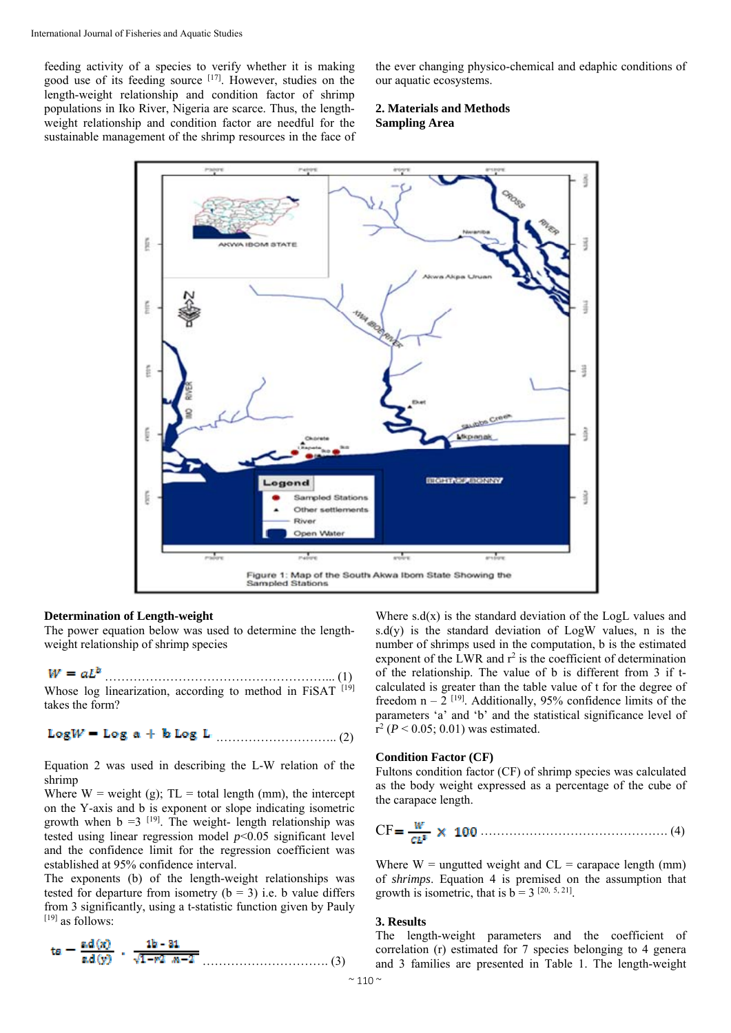feeding activity of a species to verify whether it is making good use of its feeding source [17]. However, studies on the length-weight relationship and condition factor of shrimp populations in Iko River, Nigeria are scarce. Thus, the lengthweight relationship and condition factor are needful for the sustainable management of the shrimp resources in the face of the ever changing physico-chemical and edaphic conditions of our aquatic ecosystems.

#### **2. Materials and Methods Sampling Area**



#### **Determination of Length-weight**

The power equation below was used to determine the lengthweight relationship of shrimp species

 ………………………………………………... (1) Whose log linearization, according to method in FiSAT [19] takes the form?

.……………………….. (2)

Equation 2 was used in describing the L-W relation of the shrimp

Where  $W = weight(g)$ ;  $TL = total length (mm)$ , the intercept on the Y-axis and b is exponent or slope indicating isometric growth when  $b = 3$  [19]. The weight- length relationship was tested using linear regression model  $p<0.05$  significant level and the confidence limit for the regression coefficient was established at 95% confidence interval.

The exponents (b) of the length-weight relationships was tested for departure from isometry  $(b = 3)$  i.e. b value differs from 3 significantly, using a t-statistic function given by Pauly  $[19]$  as follows:

…………………………. (3)

Where  $s.d(x)$  is the standard deviation of the LogL values and s.d(y) is the standard deviation of  $LogW$  values, n is the number of shrimps used in the computation, b is the estimated exponent of the LWR and  $r^2$  is the coefficient of determination of the relationship. The value of b is different from 3 if tcalculated is greater than the table value of t for the degree of freedom  $n - 2$ <sup>[19]</sup>. Additionally, 95% confidence limits of the parameters 'a' and 'b' and the statistical significance level of  $r^2$  (*P* < 0.05; 0.01) was estimated.

### **Condition Factor (CF)**

Fultons condition factor (CF) of shrimp species was calculated as the body weight expressed as a percentage of the cube of the carapace length.

$$
CF = \frac{W}{CL^3} \times 100 \dots (4)
$$

Where  $W =$  ungutted weight and  $CL =$  carapace length (mm) of *shrimps*. Equation 4 is premised on the assumption that growth is isometric, that is  $b = 3$  [20, 5, 21].

#### **3. Results**

The length-weight parameters and the coefficient of correlation (r) estimated for 7 species belonging to 4 genera and 3 families are presented in Table 1. The length-weight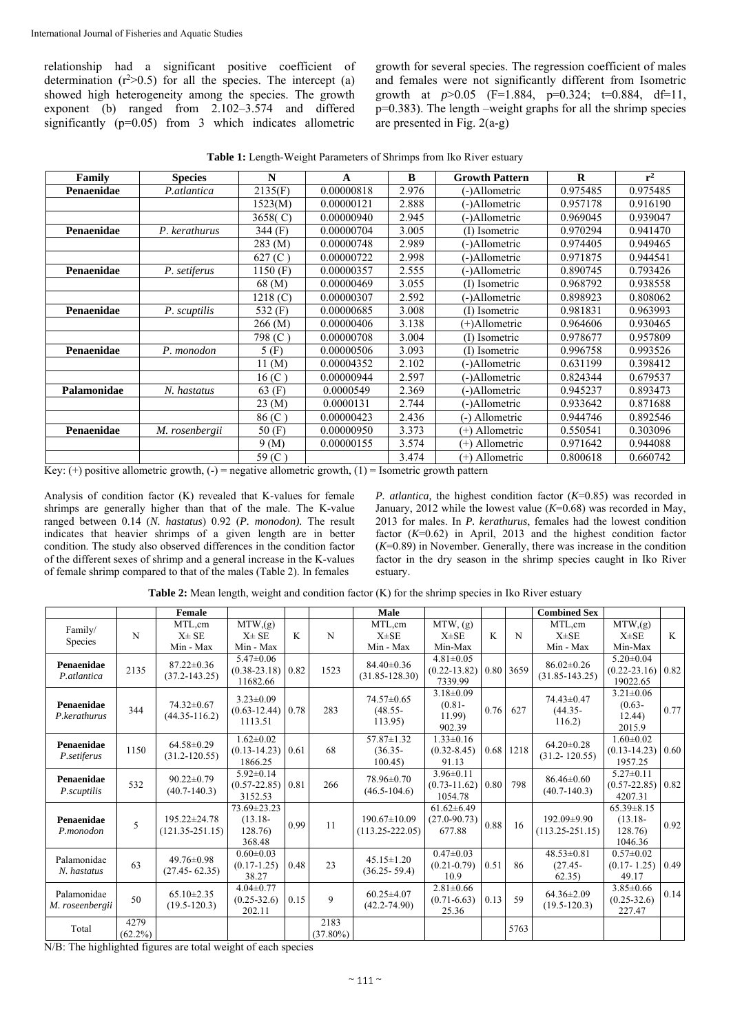relationship had a significant positive coefficient of determination  $(r^2>0.5)$  for all the species. The intercept (a) showed high heterogeneity among the species. The growth exponent (b) ranged from 2.102–3.574 and differed significantly (p=0.05) from 3 which indicates allometric

growth for several species. The regression coefficient of males and females were not significantly different from Isometric growth at  $p > 0.05$  (F=1.884, p=0.324; t=0.884, df=11, p=0.383). The length –weight graphs for all the shrimp species are presented in Fig. 2(a-g)

**Table 1:** Length-Weight Parameters of Shrimps from Iko River estuary

| Family      | <b>Species</b> | N                    | A          | $\bf{B}$ | <b>Growth Pattern</b> | $\bf{R}$ | $r^2$    |
|-------------|----------------|----------------------|------------|----------|-----------------------|----------|----------|
| Penaenidae  | P.atlantica    | 2135(F)              | 0.00000818 | 2.976    | (-)Allometric         | 0.975485 | 0.975485 |
|             |                | 1523(M)              | 0.00000121 | 2.888    | (-)Allometric         | 0.957178 | 0.916190 |
|             |                | 3658(C)              | 0.00000940 | 2.945    | (-)Allometric         | 0.969045 | 0.939047 |
| Penaenidae  | P. kerathurus  | 344 (F)              | 0.00000704 | 3.005    | (I) Isometric         | 0.970294 | 0.941470 |
|             |                | $283 \, (M)$         | 0.00000748 | 2.989    | (-)Allometric         | 0.974405 | 0.949465 |
|             |                | 627(C)               | 0.00000722 | 2.998    | (-)Allometric         | 0.971875 | 0.944541 |
| Penaenidae  | P. setiferus   | 1150(F)              | 0.00000357 | 2.555    | (-)Allometric         | 0.890745 | 0.793426 |
|             |                | 68 (M)               | 0.00000469 | 3.055    | (I) Isometric         | 0.968792 | 0.938558 |
|             |                | 1218 <sub>(C)</sub>  | 0.00000307 | 2.592    | (-)Allometric         | 0.898923 | 0.808062 |
| Penaenidae  | P. scuptilis   | 532 (F)              | 0.00000685 | 3.008    | (I) Isometric         | 0.981831 | 0.963993 |
|             |                | 266 (M)              | 0.00000406 | 3.138    | (+)Allometric         | 0.964606 | 0.930465 |
|             |                | 798 (C)              | 0.00000708 | 3.004    | (I) Isometric         | 0.978677 | 0.957809 |
| Penaenidae  | P. monodon     | 5(F)                 | 0.00000506 | 3.093    | (I) Isometric         | 0.996758 | 0.993526 |
|             |                | $11 \, (\mathrm{M})$ | 0.00004352 | 2.102    | (-)Allometric         | 0.631199 | 0.398412 |
|             |                | 16(C)                | 0.00000944 | 2.597    | (-)Allometric         | 0.824344 | 0.679537 |
| Palamonidae | N. hastatus    | $63$ (F)             | 0.0000549  | 2.369    | (-)Allometric         | 0.945237 | 0.893473 |
|             |                | $23 \, (M)$          | 0.0000131  | 2.744    | (-)Allometric         | 0.933642 | 0.871688 |
|             |                | 86(C)                | 0.00000423 | 2.436    | (-) Allometric        | 0.944746 | 0.892546 |
| Penaenidae  | M. rosenbergii | 50(F)                | 0.00000950 | 3.373    | (+) Allometric        | 0.550541 | 0.303096 |
|             |                | 9(M)                 | 0.00000155 | 3.574    | (+) Allometric        | 0.971642 | 0.944088 |
|             |                | 59 (C)               |            | 3.474    | (+) Allometric        | 0.800618 | 0.660742 |

Key:  $(+)$  positive allometric growth,  $(-)$  = negative allometric growth,  $(1)$  = Isometric growth pattern

Analysis of condition factor (K) revealed that K-values for female shrimps are generally higher than that of the male. The K-value ranged between 0.14 (*N. hastatus*) 0.92 (*P. monodon).* The result indicates that heavier shrimps of a given length are in better condition. The study also observed differences in the condition factor of the different sexes of shrimp and a general increase in the K-values of female shrimp compared to that of the males (Table 2). In females

*P. atlantica,* the highest condition factor (*K*=0.85) was recorded in January, 2012 while the lowest value (*K*=0.68) was recorded in May, 2013 for males. In *P. kerathurus*, females had the lowest condition factor (*K*=0.62) in April, 2013 and the highest condition factor  $(K=0.89)$  in November. Generally, there was increase in the condition factor in the dry season in the shrimp species caught in Iko River estuary.

|                                |                    | Female                                |                                                  |      |                     | Male                                      |                                                  |      |           | <b>Combined Sex</b>                      |                                                      |              |
|--------------------------------|--------------------|---------------------------------------|--------------------------------------------------|------|---------------------|-------------------------------------------|--------------------------------------------------|------|-----------|------------------------------------------|------------------------------------------------------|--------------|
| Family/<br>Species             | N                  | MTL,cm<br>$X \pm SE$<br>Min - Max     | $\overline{M}TW$ , (g)<br>$X\pm SE$<br>Min - Max | K    | N                   | MTL,cm<br>$X\pm SE$<br>Min - Max          | $\overline{MTW}$ , (g)<br>$X\pm SE$<br>Min-Max   | K    | N         | MTL,cm<br>$X\pm SE$<br>Min - Max         | $MTW$ , $(g)$<br>$X\pm SE$<br>Min-Max                | $\mathbf{K}$ |
| Penaenidae<br>P.atlantica      | 2135               | $87.22 \pm 0.36$<br>$(37.2 - 143.25)$ | $5.47 \pm 0.06$<br>$(0.38 - 23.18)$<br>11682.66  | 0.82 | 1523                | $84.40 \pm 0.36$<br>$(31.85 - 128.30)$    | $4.81 \pm 0.05$<br>$(0.22 - 13.82)$<br>7339.99   |      | 0.80 3659 | $86.02 \pm 0.26$<br>$(31.85 - 143.25)$   | $5.20 \pm 0.04$<br>$(0.22 - 23.16)$ 0.82<br>19022.65 |              |
| Penaenidae<br>P.kerathurus     | 344                | $74.32 \pm 0.67$<br>$(44.35 - 116.2)$ | $3.23 \pm 0.09$<br>$(0.63 - 12.44)$<br>1113.51   | 0.78 | 283                 | 74.57±0.65<br>$(48.55 -$<br>113.95        | $3.18 \pm 0.09$<br>$(0.81 -$<br>11.99)<br>902.39 | 0.76 | 627       | $74.43 \pm 0.47$<br>$(44.35 -$<br>116.2) | $3.21 \pm 0.06$<br>$(0.63 -$<br>12.44)<br>2015.9     | 0.77         |
| Penaenidae<br>P.setiferus      | 1150               | $64.58 \pm 0.29$<br>$(31.2 - 120.55)$ | $1.62 \pm 0.02$<br>$(0.13 - 14.23)$<br>1866.25   | 0.61 | 68                  | $57.87 \pm 1.32$<br>$(36.35 -$<br>100.45  | $1.33 \pm 0.16$<br>$(0.32 - 8.45)$<br>91.13      | 0.68 | 1218      | $64.20 \pm 0.28$<br>$(31.2 - 120.55)$    | $1.60 \pm 0.02$<br>$(0.13-14.23)$ 0.60<br>1957.25    |              |
| Penaenidae<br>P.scuptilis      | 532                | $90.22 \pm 0.79$<br>$(40.7 - 140.3)$  | $5.92 \pm 0.14$<br>$(0.57 - 22.85)$<br>3152.53   | 0.81 | 266                 | 78.96±0.70<br>$(46.5 - 104.6)$            | $3.96 \pm 0.11$<br>$(0.73 - 11.62)$<br>1054.78   | 0.80 | 798       | $86.46 \pm 0.60$<br>$(40.7 - 140.3)$     | $5.27 \pm 0.11$<br>$(0.57 - 22.85)$ 0.82<br>4207.31  |              |
| Penaenidae<br>P.monodon        | 5                  | 195.22±24.78<br>$(121.35 - 251.15)$   | 73.69±23.23<br>$(13.18 -$<br>128.76)<br>368.48   | 0.99 | 11                  | $190.67 \pm 10.09$<br>$(113.25 - 222.05)$ | $61.62 \pm 6.49$<br>$(27.0 - 90.73)$<br>677.88   | 0.88 | 16        | $192.09 \pm 9.90$<br>$(113.25 - 251.15)$ | $65.39 \pm 8.15$<br>$(13.18 -$<br>128.76<br>1046.36  | 0.92         |
| Palamonidae<br>N. hastatus     | 63                 | $49.76 \pm 0.98$<br>$(27.45 - 62.35)$ | $0.60 \pm 0.03$<br>$(0.17-1.25)$<br>38.27        | 0.48 | 23                  | $45.15 \pm 1.20$<br>$(36.25 - 59.4)$      | $0.47 \pm 0.03$<br>$(0.21 - 0.79)$<br>10.9       | 0.51 | 86        | $48.53 \pm 0.81$<br>$(27.45 -$<br>62.35) | $0.57 \pm 0.02$<br>$(0.17 - 1.25)$<br>49.17          | 0.49         |
| Palamonidae<br>M. roseenbergii | 50                 | $65.10 \pm 2.35$<br>$(19.5 - 120.3)$  | $4.04 \pm 0.77$<br>$(0.25 - 32.6)$<br>202.11     | 0.15 | $\mathbf{Q}$        | $60.25 \pm 4.07$<br>$(42.2 - 74.90)$      | $2.81 \pm 0.66$<br>$(0.71 - 6.63)$<br>25.36      | 0.13 | 59        | $64.36 \pm 2.09$<br>$(19.5 - 120.3)$     | $3.85 \pm 0.66$<br>$(0.25 - 32.6)$<br>227.47         | 0.14         |
| Total                          | 4279<br>$(62.2\%)$ |                                       |                                                  |      | 2183<br>$(37.80\%)$ |                                           |                                                  |      | 5763      |                                          |                                                      |              |

**Table 2:** Mean length, weight and condition factor (K) for the shrimp species in Iko River estuary

N/B: The highlighted figures are total weight of each species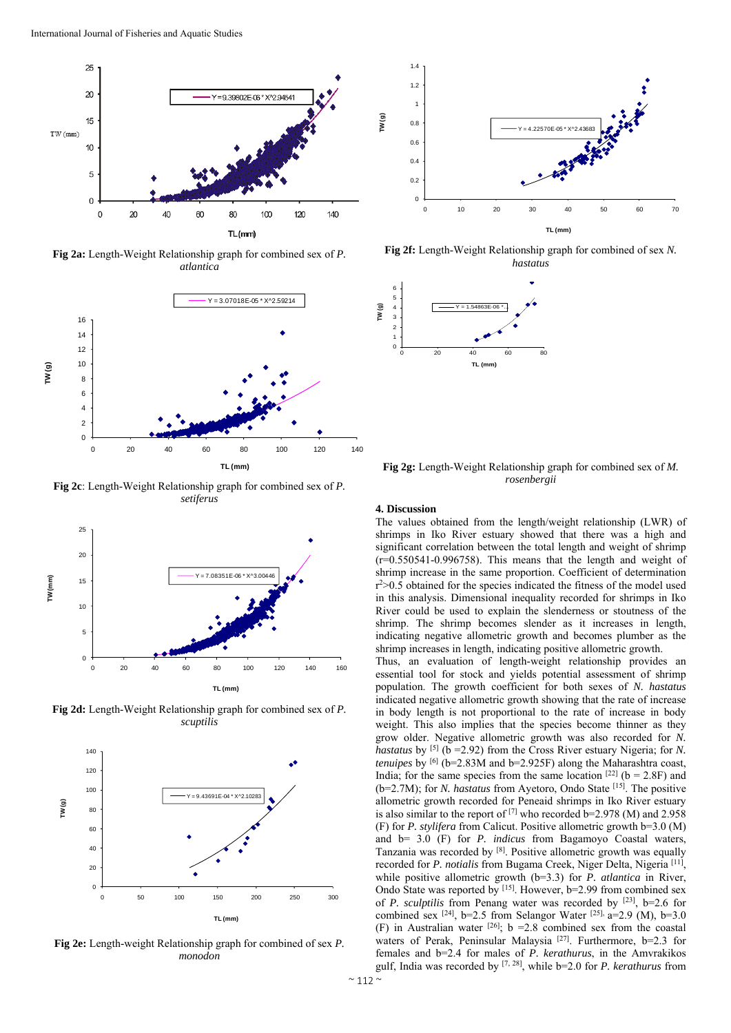

**Fig 2a:** Length-Weight Relationship graph for combined sex of *P. atlantica* 



**Fig 2c**: Length-Weight Relationship graph for combined sex of *P. setiferus* 



**Fig 2d:** Length-Weight Relationship graph for combined sex of *P. scuptilis* 



**Fig 2e:** Length-weight Relationship graph for combined of sex *P. monodon* 



**Fig 2f:** Length-Weight Relationship graph for combined of sex *N. hastatus* 



**Fig 2g:** Length-Weight Relationship graph for combined sex of *M. rosenbergii* 

#### **4. Discussion**

The values obtained from the length/weight relationship (LWR) of shrimps in Iko River estuary showed that there was a high and significant correlation between the total length and weight of shrimp  $(r=0.550541-0.996758)$ . This means that the length and weight of shrimp increase in the same proportion. Coefficient of determination r 2>0.5 obtained for the species indicated the fitness of the model used in this analysis. Dimensional inequality recorded for shrimps in Iko River could be used to explain the slenderness or stoutness of the shrimp. The shrimp becomes slender as it increases in length, indicating negative allometric growth and becomes plumber as the shrimp increases in length, indicating positive allometric growth.

Thus, an evaluation of length-weight relationship provides an essential tool for stock and yields potential assessment of shrimp population. The growth coefficient for both sexes of *N. hastatus* indicated negative allometric growth showing that the rate of increase in body length is not proportional to the rate of increase in body weight. This also implies that the species become thinner as they grow older. Negative allometric growth was also recorded for *N. hastatus* by <sup>[5]</sup> (b = 2.92) from the Cross River estuary Nigeria; for *N*. *tenuipes* by <sup>[6]</sup> (b=2.83M and b=2.925F) along the Maharashtra coast, India; for the same species from the same location  $[22]$  (b = 2.8F) and (b=2.7M); for *N. hastatus* from Ayetoro, Ondo State [15]. The positive allometric growth recorded for Peneaid shrimps in Iko River estuary is also similar to the report of [7] who recorded b=2.978 (M) and 2.958 (F) for *P. stylifera* from Calicut. Positive allometric growth b=3.0 (M) and b= 3.0 (F) for *P. indicus* from Bagamoyo Coastal waters, Tanzania was recorded by [8]. Positive allometric growth was equally recorded for *P. notialis* from Bugama Creek, Niger Delta, Nigeria [11], while positive allometric growth (b=3.3) for *P. atlantica* in River, Ondo State was reported by [15]. However, b=2.99 from combined sex of *P. sculptilis* from Penang water was recorded by [23], b=2.6 for combined sex [24], b=2.5 from Selangor Water [25], a=2.9 (M), b=3.0 (F) in Australian water <sup>[26]</sup>; b = 2.8 combined sex from the coastal waters of Perak, Peninsular Malaysia<sup>[27]</sup>. Furthermore, b=2.3 for females and b=2.4 for males of *P. kerathurus*, in the Amvrakikos gulf, India was recorded by [7, 28], while b=2.0 for *P. kerathurus* from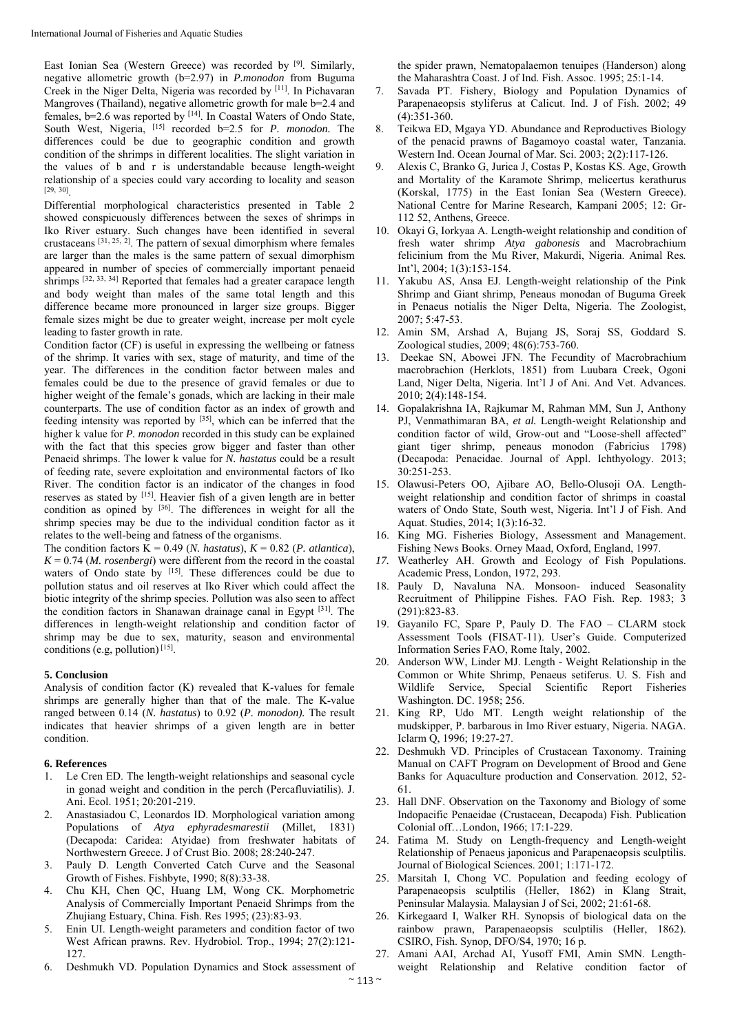East Ionian Sea (Western Greece) was recorded by [9]. Similarly, negative allometric growth (b=2.97) in *P.monodon* from Buguma Creek in the Niger Delta, Nigeria was recorded by [11]. In Pichavaran Mangroves (Thailand), negative allometric growth for male b=2.4 and females, b=2.6 was reported by [14]. In Coastal Waters of Ondo State, South West, Nigeria, [15] recorded b=2.5 for *P. monodon.* The differences could be due to geographic condition and growth condition of the shrimps in different localities. The slight variation in the values of b and r is understandable because length-weight relationship of a species could vary according to locality and season [29, 30].

Differential morphological characteristics presented in Table 2 showed conspicuously differences between the sexes of shrimps in Iko River estuary. Such changes have been identified in several crustaceans  $\begin{bmatrix} 31, 25, 2 \end{bmatrix}$ . The pattern of sexual dimorphism where females are larger than the males is the same pattern of sexual dimorphism appeared in number of species of commercially important penaeid shrimps [32, 33, 34] Reported that females had a greater carapace length and body weight than males of the same total length and this difference became more pronounced in larger size groups. Bigger female sizes might be due to greater weight, increase per molt cycle leading to faster growth in rate.

Condition factor (CF) is useful in expressing the wellbeing or fatness of the shrimp. It varies with sex, stage of maturity, and time of the year. The differences in the condition factor between males and females could be due to the presence of gravid females or due to higher weight of the female's gonads, which are lacking in their male counterparts. The use of condition factor as an index of growth and feeding intensity was reported by [35], which can be inferred that the higher k value for *P. monodon* recorded in this study can be explained with the fact that this species grow bigger and faster than other Penaeid shrimps. The lower k value for *N. hastatus* could be a result of feeding rate, severe exploitation and environmental factors of Iko River. The condition factor is an indicator of the changes in food reserves as stated by [15]. Heavier fish of a given length are in better condition as opined by [36]. The differences in weight for all the shrimp species may be due to the individual condition factor as it relates to the well-being and fatness of the organisms.

The condition factors  $\overline{K} = 0.49$  (*N. hastatus*),  $K = 0.82$  (*P. atlantica*),  $K = 0.74$  (*M. rosenbergi*) were different from the record in the coastal waters of Ondo state by  $[15]$ . These differences could be due to pollution status and oil reserves at Iko River which could affect the biotic integrity of the shrimp species. Pollution was also seen to affect the condition factors in Shanawan drainage canal in Egypt [31]. The differences in length-weight relationship and condition factor of shrimp may be due to sex, maturity, season and environmental conditions (e.g, pollution) [15].

#### **5. Conclusion**

Analysis of condition factor (K) revealed that K-values for female shrimps are generally higher than that of the male. The K-value ranged between 0.14 (*N. hastatus*) to 0.92 (*P. monodon).* The result indicates that heavier shrimps of a given length are in better condition.

#### **6. References**

- 1. Le Cren ED. The length-weight relationships and seasonal cycle in gonad weight and condition in the perch (Percafluviatilis). J. Ani. Ecol. 1951; 20:201-219.
- 2. Anastasiadou C, Leonardos ID. Morphological variation among Populations of *Atya ephyradesmarestii* (Millet, 1831) (Decapoda: Caridea: Atyidae) from freshwater habitats of Northwestern Greece. J of Crust Bio. 2008; 28:240-247.
- 3. Pauly D. Length Converted Catch Curve and the Seasonal Growth of Fishes. Fishbyte, 1990; 8(8):33-38.
- 4. Chu KH, Chen QC, Huang LM, Wong CK. Morphometric Analysis of Commercially Important Penaeid Shrimps from the Zhujiang Estuary, China. Fish. Res 1995; (23):83-93.
- 5. Enin UI. Length-weight parameters and condition factor of two West African prawns. Rev. Hydrobiol. Trop., 1994; 27(2):121- 127.
- 6. Deshmukh VD. Population Dynamics and Stock assessment of

the spider prawn, Nematopalaemon tenuipes (Handerson) along the Maharashtra Coast. J of Ind. Fish. Assoc. 1995; 25:1-14.

- 7. Savada PT. Fishery, Biology and Population Dynamics of Parapenaeopsis styliferus at Calicut. Ind. J of Fish. 2002; 49 (4):351-360.
- 8. Teikwa ED, Mgaya YD. Abundance and Reproductives Biology of the penacid prawns of Bagamoyo coastal water, Tanzania. Western Ind. Ocean Journal of Mar*.* Sci. 2003; 2(2):117-126.
- 9. Alexis C, Branko G, Jurica J, Costas P, Kostas KS. Age, Growth and Mortality of the Karamote Shrimp, melicertus kerathurus (Korskal, 1775) in the East Ionian Sea (Western Greece). National Centre for Marine Research, Kampani 2005; 12: Gr-112 52, Anthens, Greece.
- 10. Okayi G, Iorkyaa A. Length-weight relationship and condition of fresh water shrimp *Atya gabonesis* and Macrobrachium felicinium from the Mu River, Makurdi, Nigeria. Animal Res*.*  Int'l, 2004; 1(3):153-154.
- 11. Yakubu AS, Ansa EJ. Length-weight relationship of the Pink Shrimp and Giant shrimp, Peneaus monodan of Buguma Greek in Penaeus notialis the Niger Delta, Nigeria. The Zoologist, 2007; 5:47-53.
- 12. Amin SM, Arshad A, Bujang JS, Soraj SS, Goddard S. Zoological studies, 2009; 48(6):753-760.
- 13. Deekae SN, Abowei JFN. The Fecundity of Macrobrachium macrobrachion (Herklots, 1851) from Luubara Creek, Ogoni Land, Niger Delta, Nigeria. Int'l J of Ani. And Vet. Advances. 2010; 2(4):148-154.
- 14. Gopalakrishna IA, Rajkumar M, Rahman MM, Sun J, Anthony PJ, Venmathimaran BA, *et al.* Length-weight Relationship and condition factor of wild, Grow-out and "Loose-shell affected" giant tiger shrimp, peneaus monodon (Fabricius 1798) (Decapoda: Penacidae. Journal of Appl. Ichthyology. 2013; 30:251-253.
- 15. Olawusi-Peters OO, Ajibare AO, Bello-Olusoji OA. Lengthweight relationship and condition factor of shrimps in coastal waters of Ondo State, South west, Nigeria. Int'l J of Fish. And Aquat. Studies, 2014; 1(3):16-32.
- 16. King MG. Fisheries Biology, Assessment and Management. Fishing News Books. Orney Maad, Oxford, England, 1997.
- *17.* Weatherley AH. Growth and Ecology of Fish Populations. Academic Press, London, 1972, 293.
- 18. Pauly D, Navaluna NA. Monsoon- induced Seasonality Recruitment of Philippine Fishes. FAO Fish. Rep. 1983; 3 (291):823-83.
- 19. Gayanilo FC, Spare P, Pauly D. The FAO CLARM stock Assessment Tools (FISAT-11). User's Guide. Computerized Information Series FAO, Rome Italy, 2002.
- 20. Anderson WW, Linder MJ. Length Weight Relationship in the Common or White Shrimp, Penaeus setiferus. U. S. Fish and Wildlife Service, Special Scientific Report Fisheries Washington. DC. 1958; 256.
- 21. King RP, Udo MT. Length weight relationship of the mudskipper, P. barbarous in Imo River estuary, Nigeria. NAGA. Iclarm Q, 1996; 19:27-27.
- 22. Deshmukh VD. Principles of Crustacean Taxonomy. Training Manual on CAFT Program on Development of Brood and Gene Banks for Aquaculture production and Conservation. 2012, 52- 61.
- 23. Hall DNF. Observation on the Taxonomy and Biology of some Indopacific Penaeidae (Crustacean, Decapoda) Fish. Publication Colonial off…London, 1966; 17:1-229.
- 24. Fatima M. Study on Length-frequency and Length-weight Relationship of Penaeus japonicus and Parapenaeopsis sculptilis. Journal of Biological Sciences. 2001; 1:171-172.
- 25. Marsitah I, Chong VC. Population and feeding ecology of Parapenaeopsis sculptilis (Heller, 1862) in Klang Strait, Peninsular Malaysia. Malaysian J of Sci, 2002; 21:61-68.
- 26. Kirkegaard I, Walker RH. Synopsis of biological data on the rainbow prawn, Parapenaeopsis sculptilis (Heller, 1862). CSIRO, Fish. Synop, DFO/S4, 1970; 16 p.
- 27. Amani AAI, Archad AI, Yusoff FMI, Amin SMN. Lengthweight Relationship and Relative condition factor of